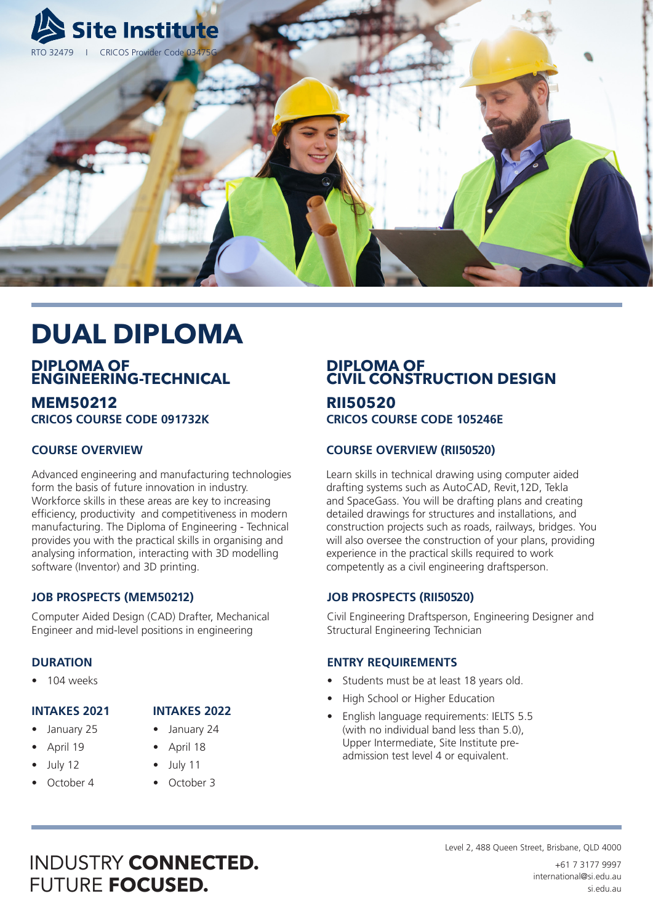

# **DUAL DIPLOMA**

### **DIPLOMA OF ENGINEERING-TECHNICAL**

**MEM50212 CRICOS COURSE CODE 091732K** 

### **COURSE OVERVIEW**

Advanced engineering and manufacturing technologies form the basis of future innovation in industry. Workforce skills in these areas are key to increasing efficiency, productivity and competitiveness in modern manufacturing. The Diploma of Engineering - Technical provides you with the practical skills in organising and analysing information, interacting with 3D modelling software (Inventor) and 3D printing.

### **JOB PROSPECTS (MEM50212)**

Computer Aided Design (CAD) Drafter, Mechanical Engineer and mid-level positions in engineering

#### **DURATION**

• 104 weeks

#### **INTAKES 2021**

- January 25
- April 19
- July 12
- October 4

## **INTAKES 2022**

- January 24
- April 18
- July 11
- October 3

# **DIPLOMA OF CIVIL CONSTRUCTION DESIGN**

# **RII50520**

**CRICOS COURSE CODE 105246E** 

#### **COURSE OVERVIEW (RII50520)**

Learn skills in technical drawing using computer aided drafting systems such as AutoCAD, Revit,12D, Tekla and SpaceGass. You will be drafting plans and creating detailed drawings for structures and installations, and construction projects such as roads, railways, bridges. You will also oversee the construction of your plans, providing experience in the practical skills required to work competently as a civil engineering draftsperson.

#### **JOB PROSPECTS (RII50520)**

Civil Engineering Draftsperson, Engineering Designer and Structural Engineering Technician

#### **ENTRY REQUIREMENTS**

- Students must be at least 18 years old.
- High School or Higher Education
- English language requirements: IELTS 5.5 (with no individual band less than 5.0), Upper Intermediate, Site Institute preadmission test level 4 or equivalent.

# INDUSTRY **CONNECTED.** FUTURE **FOCUSED.**

Level 2, 488 Queen Street, Brisbane, QLD 4000

+61 7 3177 9997 international@si.edu.au si.edu.au